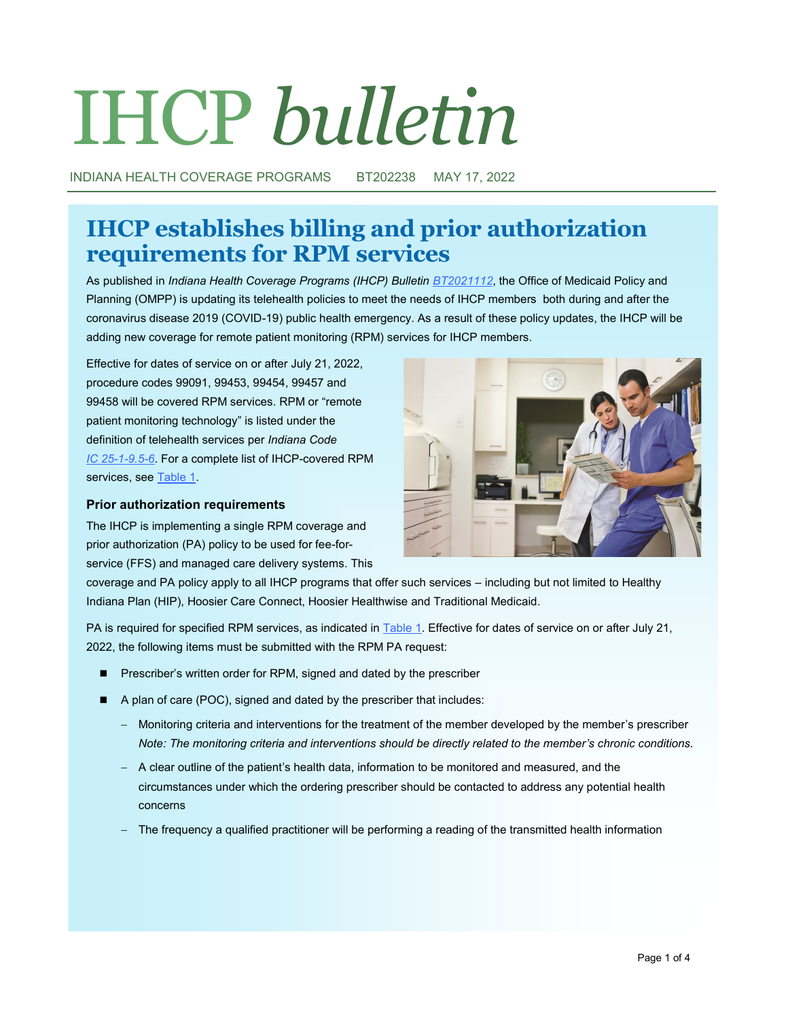# IHCP *bulletin*

INDIANA HEALTH COVERAGE PROGRAMS BT202238 MAY 17, 2022

# **IHCP establishes billing and prior authorization requirements for RPM services**

As published in *Indiana Health Coverage Programs (IHCP) Bulletin [BT2021112](http://provider.indianamedicaid.com/ihcp/Bulletins/BT2021112.pdf)*, the Office of Medicaid Policy and Planning (OMPP) is updating its telehealth policies to meet the needs of IHCP members both during and after the coronavirus disease 2019 (COVID-19) public health emergency. As a result of these policy updates, the IHCP will be adding new coverage for remote patient monitoring (RPM) services for IHCP members.

Effective for dates of service on or after July 21, 2022, procedure codes 99091, 99453, 99454, 99457 and 99458 will be covered RPM services. RPM or "remote patient monitoring technology" is listed under the definition of telehealth services per *Indiana Code [IC 25](http://iga.in.gov/legislative/laws/2021/ic/titles/025/#25-1-9.5-6)-1-9.5-6*. For a complete list of IHCP-covered RPM services, see [Table 1.](#page-2-0) 

## **Prior authorization requirements**

The IHCP is implementing a single RPM coverage and prior authorization (PA) policy to be used for fee-forservice (FFS) and managed care delivery systems. This



coverage and PA policy apply to all IHCP programs that offer such services – including but not limited to Healthy Indiana Plan (HIP), Hoosier Care Connect, Hoosier Healthwise and Traditional Medicaid.

PA is required for specified RPM services, as indicated in [Table 1.](#page-2-0) Effective for dates of service on or after July 21, 2022, the following items must be submitted with the RPM PA request:

- Prescriber's written order for RPM, signed and dated by the prescriber
- A plan of care (POC), signed and dated by the prescriber that includes:
	- Monitoring criteria and interventions for the treatment of the member developed by the member's prescriber *Note: The monitoring criteria and interventions should be directly related to the member's chronic conditions.*
	- − A clear outline of the patient's health data, information to be monitored and measured, and the circumstances under which the ordering prescriber should be contacted to address any potential health concerns
	- − The frequency a qualified practitioner will be performing a reading of the transmitted health information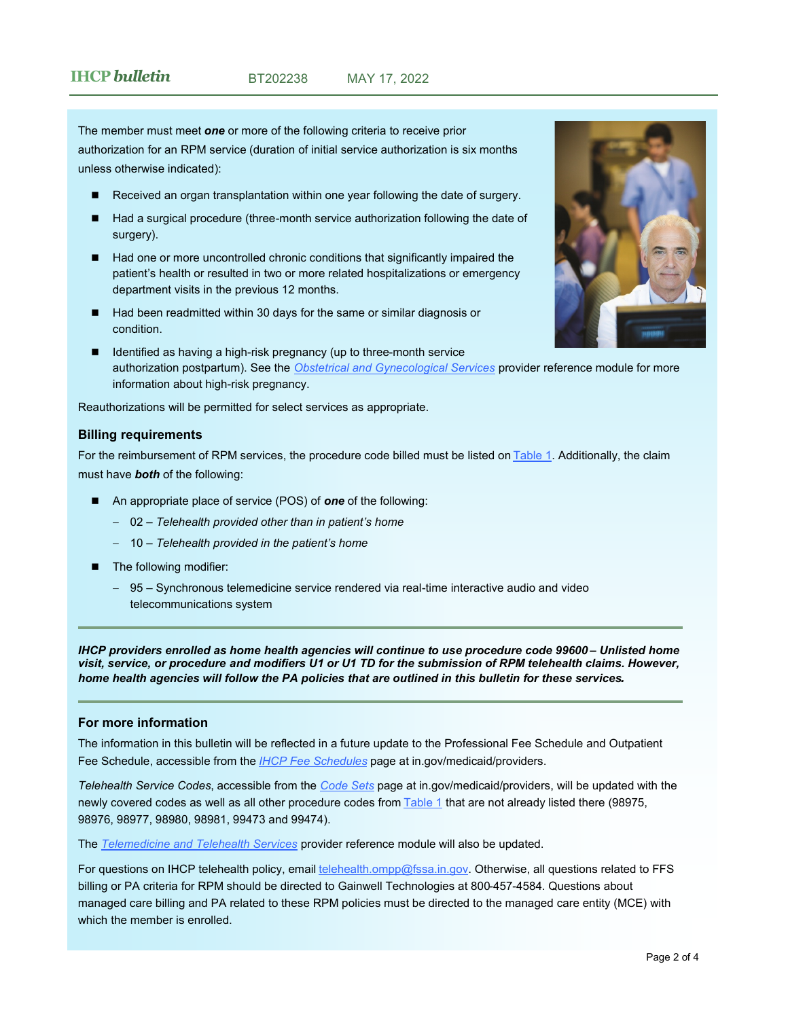The member must meet *one* or more of the following criteria to receive prior authorization for an RPM service (duration of initial service authorization is six months unless otherwise indicated):

- Received an organ transplantation within one year following the date of surgery.
- Had a surgical procedure (three-month service authorization following the date of surgery).
- Had one or more uncontrolled chronic conditions that significantly impaired the patient's health or resulted in two or more related hospitalizations or emergency department visits in the previous 12 months.
- Had been readmitted within 30 days for the same or similar diagnosis or condition.
- Identified as having a high-risk pregnancy (up to three-month service authorization postpartum). See the *[Obstetrical and Gynecological Services](https://www.in.gov/medicaid/providers/files/obstetrical-and-gynecological-services.pdf)* provider reference module for more information about high-risk pregnancy.

Reauthorizations will be permitted for select services as appropriate.

#### **Billing requirements**

For the reimbursement of RPM services, the procedure code billed must be listed on [Table 1.](#page-2-0) Additionally, the claim must have *both* of the following:

- An appropriate place of service (POS) of **one** of the following:
	- − 02 *Telehealth provided other than in patient's home*
	- − 10 *Telehealth provided in the patient's home*
- The following modifier:
	- − 95 Synchronous telemedicine service rendered via real-time interactive audio and video telecommunications system

*IHCP providers enrolled as home health agencies will continue to use procedure code 99600 – Unlisted home visit, service, or procedure and modifiers U1 or U1 TD for the submission of RPM telehealth claims. However, home health agencies will follow the PA policies that are outlined in this bulletin for these services.*

#### **For more information**

The information in this bulletin will be reflected in a future update to the Professional Fee Schedule and Outpatient Fee Schedule, accessible from the *[IHCP Fee Schedules](https://www.in.gov/medicaid/providers/business-transactions/billing-and-remittance/ihcp-fee-schedules/)* page at in.gov/medicaid/providers.

*Telehealth Service Codes*, accessible from the *[Code Sets](https://www.in.gov/medicaid/providers/business-transactions/billing-and-remittance/code-sets/)* page at in.gov/medicaid/providers, will be updated with the newly covered codes as well as all other procedure codes from [Table 1](#page-2-0) that are not already listed there (98975, 98976, 98977, 98980, 98981, 99473 and 99474).

The *[Telemedicine and Telehealth Services](https://www.in.gov/medicaid/providers/files/telemedicine-and-telehealth-services.pdf)* provider reference module will also be updated.

For questions on IHCP telehealth policy, email [telehealth.ompp@fssa.in.gov.](mailto:telehealth.ompp@fssa.in.gov) Otherwise, all questions related to FFS billing or PA criteria for RPM should be directed to Gainwell Technologies at 800-457-4584. Questions about managed care billing and PA related to these RPM policies must be directed to the managed care entity (MCE) with which the member is enrolled.

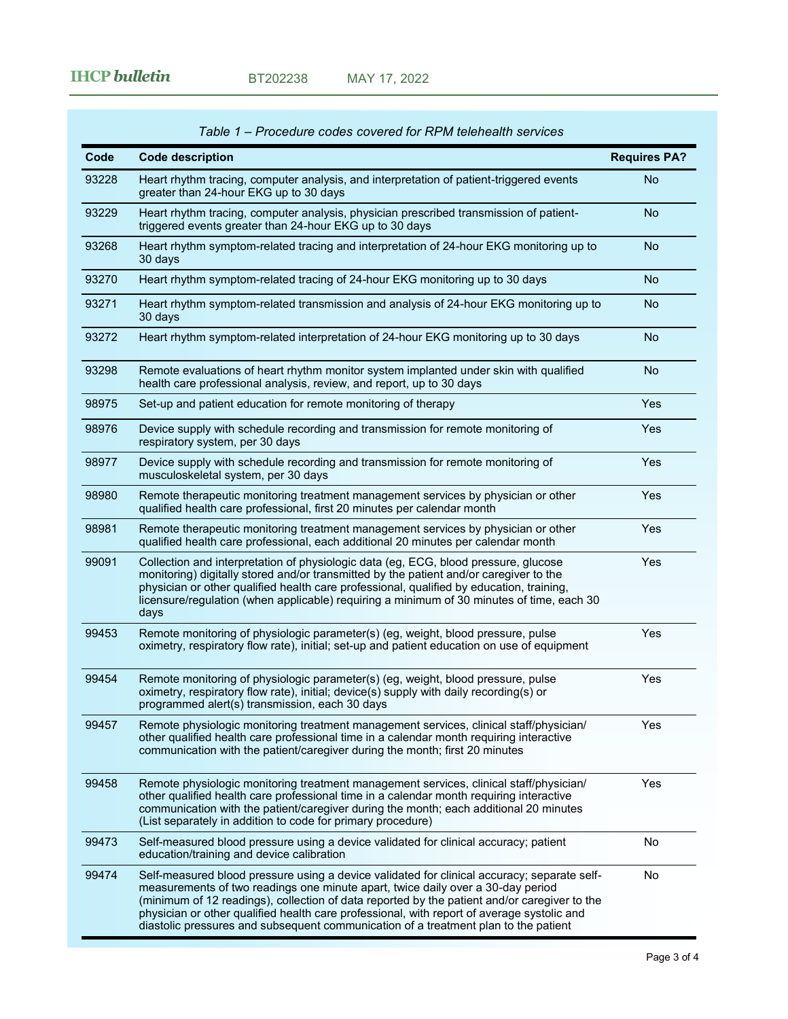<span id="page-2-0"></span>

| Code  | <b>Code description</b>                                                                                                                                                                                                                                                                                                                                                                                                                                             | <b>Requires PA?</b> |
|-------|---------------------------------------------------------------------------------------------------------------------------------------------------------------------------------------------------------------------------------------------------------------------------------------------------------------------------------------------------------------------------------------------------------------------------------------------------------------------|---------------------|
| 93228 | Heart rhythm tracing, computer analysis, and interpretation of patient-triggered events<br>greater than 24-hour EKG up to 30 days                                                                                                                                                                                                                                                                                                                                   | <b>No</b>           |
| 93229 | Heart rhythm tracing, computer analysis, physician prescribed transmission of patient-<br>triggered events greater than 24-hour EKG up to 30 days                                                                                                                                                                                                                                                                                                                   | <b>No</b>           |
| 93268 | Heart rhythm symptom-related tracing and interpretation of 24-hour EKG monitoring up to<br>30 days                                                                                                                                                                                                                                                                                                                                                                  | <b>No</b>           |
| 93270 | Heart rhythm symptom-related tracing of 24-hour EKG monitoring up to 30 days                                                                                                                                                                                                                                                                                                                                                                                        | <b>No</b>           |
| 93271 | Heart rhythm symptom-related transmission and analysis of 24-hour EKG monitoring up to<br>30 days                                                                                                                                                                                                                                                                                                                                                                   | <b>No</b>           |
| 93272 | Heart rhythm symptom-related interpretation of 24-hour EKG monitoring up to 30 days                                                                                                                                                                                                                                                                                                                                                                                 | <b>No</b>           |
| 93298 | Remote evaluations of heart rhythm monitor system implanted under skin with qualified<br>health care professional analysis, review, and report, up to 30 days                                                                                                                                                                                                                                                                                                       | No                  |
| 98975 | Set-up and patient education for remote monitoring of therapy                                                                                                                                                                                                                                                                                                                                                                                                       | Yes                 |
| 98976 | Device supply with schedule recording and transmission for remote monitoring of<br>respiratory system, per 30 days                                                                                                                                                                                                                                                                                                                                                  | Yes                 |
| 98977 | Device supply with schedule recording and transmission for remote monitoring of<br>musculoskeletal system, per 30 days                                                                                                                                                                                                                                                                                                                                              | Yes                 |
| 98980 | Remote therapeutic monitoring treatment management services by physician or other<br>qualified health care professional, first 20 minutes per calendar month                                                                                                                                                                                                                                                                                                        | Yes                 |
| 98981 | Remote therapeutic monitoring treatment management services by physician or other<br>qualified health care professional, each additional 20 minutes per calendar month                                                                                                                                                                                                                                                                                              | Yes                 |
| 99091 | Collection and interpretation of physiologic data (eg, ECG, blood pressure, glucose<br>monitoring) digitally stored and/or transmitted by the patient and/or caregiver to the<br>physician or other qualified health care professional, qualified by education, training,<br>licensure/regulation (when applicable) requiring a minimum of 30 minutes of time, each 30<br>days                                                                                      | Yes                 |
| 99453 | Remote monitoring of physiologic parameter(s) (eg, weight, blood pressure, pulse<br>oximetry, respiratory flow rate), initial; set-up and patient education on use of equipment                                                                                                                                                                                                                                                                                     | Yes                 |
| 99454 | Remote monitoring of physiologic parameter(s) (eg, weight, blood pressure, pulse<br>oximetry, respiratory flow rate), initial; device(s) supply with daily recording(s) or<br>programmed alert(s) transmission, each 30 days                                                                                                                                                                                                                                        | Yes                 |
| 99457 | Remote physiologic monitoring treatment management services, clinical staff/physician/<br>other qualified health care professional time in a calendar month requiring interactive<br>communication with the patient/caregiver during the month; first 20 minutes                                                                                                                                                                                                    | Yes                 |
| 99458 | Remote physiologic monitoring treatment management services, clinical staff/physician/<br>other qualified health care professional time in a calendar month requiring interactive<br>communication with the patient/caregiver during the month; each additional 20 minutes<br>(List separately in addition to code for primary procedure)                                                                                                                           | Yes                 |
| 99473 | Self-measured blood pressure using a device validated for clinical accuracy; patient<br>education/training and device calibration                                                                                                                                                                                                                                                                                                                                   | No                  |
| 99474 | Self-measured blood pressure using a device validated for clinical accuracy; separate self-<br>measurements of two readings one minute apart, twice daily over a 30-day period<br>(minimum of 12 readings), collection of data reported by the patient and/or caregiver to the<br>physician or other qualified health care professional, with report of average systolic and<br>diastolic pressures and subsequent communication of a treatment plan to the patient | No                  |

*Table 1 – Procedure codes covered for RPM telehealth services*